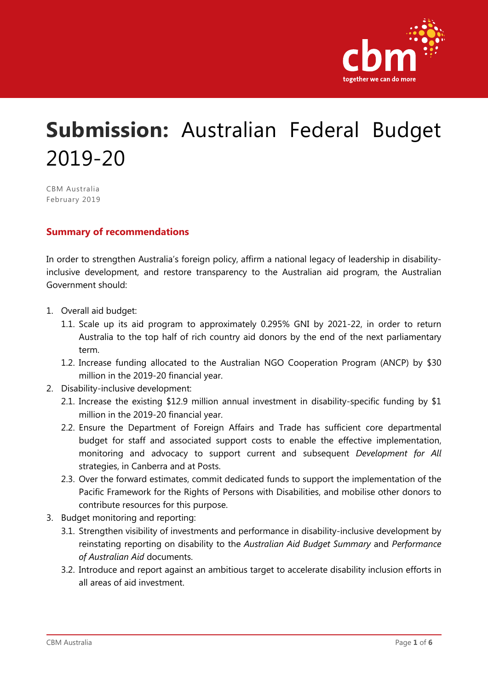

# **Submission:** Australian Federal Budget 2019-20

CBM Australia February 2019

#### **Summary of recommendations**

In order to strengthen Australia's foreign policy, affirm a national legacy of leadership in disabilityinclusive development, and restore transparency to the Australian aid program, the Australian Government should:

- 1. Overall aid budget:
	- 1.1. Scale up its aid program to approximately 0.295% GNI by 2021-22, in order to return Australia to the top half of rich country aid donors by the end of the next parliamentary term.
	- 1.2. Increase funding allocated to the Australian NGO Cooperation Program (ANCP) by \$30 million in the 2019-20 financial year.
- 2. Disability-inclusive development:
	- 2.1. Increase the existing \$12.9 million annual investment in disability-specific funding by \$1 million in the 2019-20 financial year.
	- 2.2. Ensure the Department of Foreign Affairs and Trade has sufficient core departmental budget for staff and associated support costs to enable the effective implementation, monitoring and advocacy to support current and subsequent *Development for All*  strategies, in Canberra and at Posts.
	- 2.3. Over the forward estimates, commit dedicated funds to support the implementation of the Pacific Framework for the Rights of Persons with Disabilities, and mobilise other donors to contribute resources for this purpose.
- 3. Budget monitoring and reporting:
	- 3.1. Strengthen visibility of investments and performance in disability-inclusive development by reinstating reporting on disability to the *Australian Aid Budget Summary* and *Performance of Australian Aid* documents.
	- 3.2. Introduce and report against an ambitious target to accelerate disability inclusion efforts in all areas of aid investment.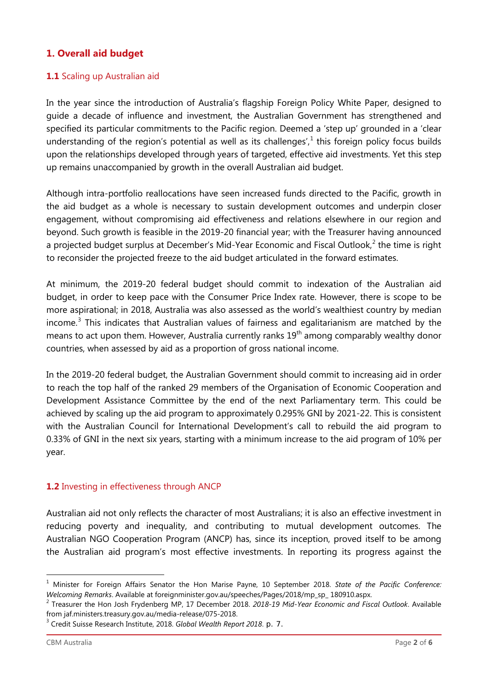## **1. Overall aid budget**

#### **1.1** Scaling up Australian aid

In the year since the introduction of Australia's flagship Foreign Policy White Paper, designed to guide a decade of influence and investment, the Australian Government has strengthened and specified its particular commitments to the Pacific region. Deemed a 'step up' grounded in a 'clear understanding of the region's potential as well as its challenges', $<sup>1</sup>$  $<sup>1</sup>$  $<sup>1</sup>$  this foreign policy focus builds</sup> upon the relationships developed through years of targeted, effective aid investments. Yet this step up remains unaccompanied by growth in the overall Australian aid budget.

Although intra-portfolio reallocations have seen increased funds directed to the Pacific, growth in the aid budget as a whole is necessary to sustain development outcomes and underpin closer engagement, without compromising aid effectiveness and relations elsewhere in our region and beyond. Such growth is feasible in the 2019-20 financial year; with the Treasurer having announced a projected budget surplus at December's Mid-Year Economic and Fiscal Outlook,<sup>[2](#page-1-1)</sup> the time is right to reconsider the projected freeze to the aid budget articulated in the forward estimates.

At minimum, the 2019-20 federal budget should commit to indexation of the Australian aid budget, in order to keep pace with the Consumer Price Index rate. However, there is scope to be more aspirational; in 2018, Australia was also assessed as the world's wealthiest country by median income.<sup>[3](#page-1-2)</sup> This indicates that Australian values of fairness and egalitarianism are matched by the means to act upon them. However, Australia currently ranks  $19<sup>th</sup>$  among comparably wealthy donor countries, when assessed by aid as a proportion of gross national income.

In the 2019-20 federal budget, the Australian Government should commit to increasing aid in order to reach the top half of the ranked 29 members of the Organisation of Economic Cooperation and Development Assistance Committee by the end of the next Parliamentary term. This could be achieved by scaling up the aid program to approximately 0.295% GNI by 2021-22. This is consistent with the Australian Council for International Development's call to rebuild the aid program to 0.33% of GNI in the next six years, starting with a minimum increase to the aid program of 10% per year.

#### **1.2** Investing in effectiveness through ANCP

Australian aid not only reflects the character of most Australians; it is also an effective investment in reducing poverty and inequality, and contributing to mutual development outcomes. The Australian NGO Cooperation Program (ANCP) has, since its inception, proved itself to be among the Australian aid program's most effective investments. In reporting its progress against the

j.

<span id="page-1-0"></span><sup>1</sup> Minister for Foreign Affairs Senator the Hon Marise Payne, 10 September 2018. *State of the Pacific Conference: Welcoming Remarks*. Available at foreignminister.gov.au/speeches/Pages/2018/mp\_sp\_ 180910.aspx. 2 Treasurer the Hon Josh Frydenberg MP, 17 December 2018. *2018-19 Mid-Year Economic and Fiscal Outlook*. Available

<span id="page-1-1"></span>from jaf.ministers.treasury.gov.au/media-release/075-2018. 3 Credit Suisse Research Institute, 2018. *Global Wealth Report 2018*. p. 7.

<span id="page-1-2"></span>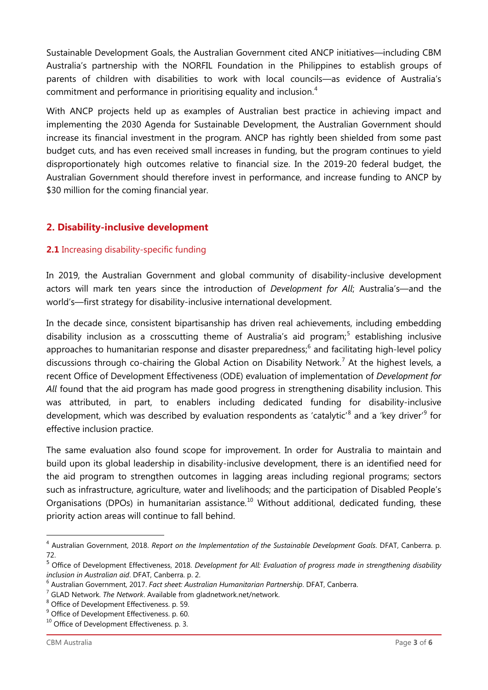Sustainable Development Goals, the Australian Government cited ANCP initiatives—including CBM Australia's partnership with the NORFIL Foundation in the Philippines to establish groups of parents of children with disabilities to work with local councils—as evidence of Australia's commitment and performance in prioritising equality and inclusion.<sup>[4](#page-2-0)</sup>

With ANCP projects held up as examples of Australian best practice in achieving impact and implementing the 2030 Agenda for Sustainable Development, the Australian Government should increase its financial investment in the program. ANCP has rightly been shielded from some past budget cuts, and has even received small increases in funding, but the program continues to yield disproportionately high outcomes relative to financial size. In the 2019-20 federal budget, the Australian Government should therefore invest in performance, and increase funding to ANCP by \$30 million for the coming financial year.

# **2. Disability-inclusive development**

## **2.1** Increasing disability-specific funding

In 2019, the Australian Government and global community of disability-inclusive development actors will mark ten years since the introduction of *Development for All*; Australia's—and the world's—first strategy for disability-inclusive international development.

In the decade since, consistent bipartisanship has driven real achievements, including embedding disability inclusion as a crosscutting theme of Australia's aid program;<sup>[5](#page-2-1)</sup> establishing inclusive approaches to humanitarian response and disaster preparedness; [6](#page-2-2) and facilitating high-level policy discussions through co-chairing the Global Action on Disability Network.<sup>[7](#page-2-3)</sup> At the highest levels, a recent Office of Development Effectiveness (ODE) evaluation of implementation of *Development for All* found that the aid program has made good progress in strengthening disability inclusion. This was attributed, in part, to enablers including dedicated funding for disability-inclusive development, which was described by evaluation respondents as 'catalytic'<sup>[8](#page-2-4)</sup> and a 'key driver'<sup>[9](#page-2-5)</sup> for effective inclusion practice.

The same evaluation also found scope for improvement. In order for Australia to maintain and build upon its global leadership in disability-inclusive development, there is an identified need for the aid program to strengthen outcomes in lagging areas including regional programs; sectors such as infrastructure, agriculture, water and livelihoods; and the participation of Disabled People's Organisations (DPOs) in humanitarian assistance.<sup>[10](#page-2-6)</sup> Without additional, dedicated funding, these priority action areas will continue to fall behind.

-

<span id="page-2-0"></span><sup>4</sup> Australian Government, 2018. *Report on the Implementation of the Sustainable Development Goals*. DFAT, Canberra. p. 72.

<span id="page-2-1"></span><sup>5</sup> Office of Development Effectiveness, 2018. *Development for All: Evaluation of progress made in strengthening disability inclusion in Australian aid*. DFAT, Canberra. p. 2.

<span id="page-2-2"></span><sup>&</sup>lt;sup>6</sup> Australian Government, 2017. *Fact sheet: Australian Humanitarian Partnership*. DFAT, Canberra. <sup>7</sup> GLAD Network. *The Network*. Available from gladnetwork.net/network.<br><sup>8</sup> Office of Development Effectiveness. p. 59.

<span id="page-2-3"></span>

<span id="page-2-5"></span><span id="page-2-4"></span><sup>&</sup>lt;sup>9</sup> Office of Development Effectiveness. p. 60.

<span id="page-2-6"></span> $10$  Office of Development Effectiveness. p. 3.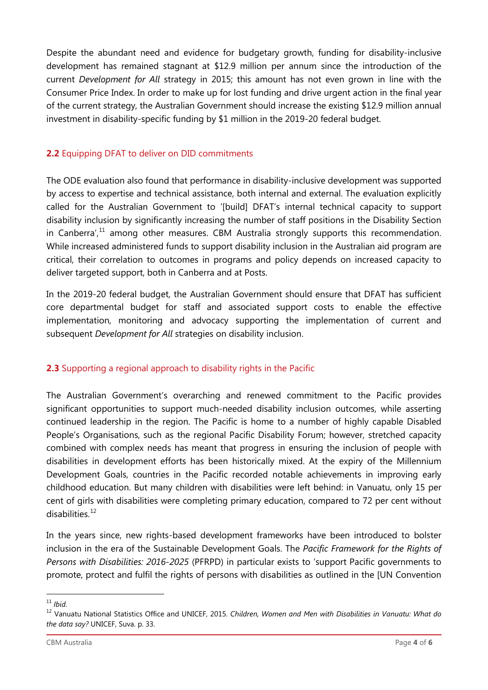Despite the abundant need and evidence for budgetary growth, funding for disability-inclusive development has remained stagnant at \$12.9 million per annum since the introduction of the current *Development for All* strategy in 2015; this amount has not even grown in line with the Consumer Price Index. In order to make up for lost funding and drive urgent action in the final year of the current strategy, the Australian Government should increase the existing \$12.9 million annual investment in disability-specific funding by \$1 million in the 2019-20 federal budget.

#### **2.2** Equipping DFAT to deliver on DID commitments

The ODE evaluation also found that performance in disability-inclusive development was supported by access to expertise and technical assistance, both internal and external. The evaluation explicitly called for the Australian Government to '[build] DFAT's internal technical capacity to support disability inclusion by significantly increasing the number of staff positions in the Disability Section in Canberra',<sup>[11](#page-3-0)</sup> among other measures. CBM Australia strongly supports this recommendation. While increased administered funds to support disability inclusion in the Australian aid program are critical, their correlation to outcomes in programs and policy depends on increased capacity to deliver targeted support, both in Canberra and at Posts.

In the 2019-20 federal budget, the Australian Government should ensure that DFAT has sufficient core departmental budget for staff and associated support costs to enable the effective implementation, monitoring and advocacy supporting the implementation of current and subsequent *Development for All* strategies on disability inclusion.

## **2.3** Supporting a regional approach to disability rights in the Pacific

The Australian Government's overarching and renewed commitment to the Pacific provides significant opportunities to support much-needed disability inclusion outcomes, while asserting continued leadership in the region. The Pacific is home to a number of highly capable Disabled People's Organisations, such as the regional Pacific Disability Forum; however, stretched capacity combined with complex needs has meant that progress in ensuring the inclusion of people with disabilities in development efforts has been historically mixed. At the expiry of the Millennium Development Goals, countries in the Pacific recorded notable achievements in improving early childhood education. But many children with disabilities were left behind: in Vanuatu, only 15 per cent of girls with disabilities were completing primary education, compared to 72 per cent without  $disabilities<sup>12</sup>$  $disabilities<sup>12</sup>$  $disabilities<sup>12</sup>$ 

In the years since, new rights-based development frameworks have been introduced to bolster inclusion in the era of the Sustainable Development Goals. The *Pacific Framework for the Rights of Persons with Disabilities: 2016-2025* (PFRPD) in particular exists to 'support Pacific governments to promote, protect and fulfil the rights of persons with disabilities as outlined in the [UN Convention

<span id="page-3-0"></span>j.  $11$  *Ibid.* 

<span id="page-3-1"></span><sup>12</sup> Vanuatu National Statistics Office and UNICEF, 2015. *Children, Women and Men with Disabilities in Vanuatu: What do the data say?* UNICEF, Suva. p. 33.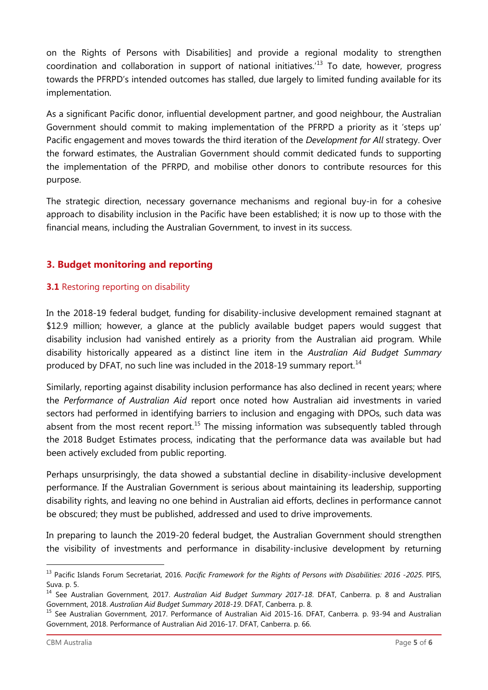on the Rights of Persons with Disabilities] and provide a regional modality to strengthen coordination and collaboration in support of national initiatives.<sup>[13](#page-4-0)</sup> To date, however, progress towards the PFRPD's intended outcomes has stalled, due largely to limited funding available for its implementation.

As a significant Pacific donor, influential development partner, and good neighbour, the Australian Government should commit to making implementation of the PFRPD a priority as it 'steps up' Pacific engagement and moves towards the third iteration of the *Development for All* strategy. Over the forward estimates, the Australian Government should commit dedicated funds to supporting the implementation of the PFRPD, and mobilise other donors to contribute resources for this purpose.

The strategic direction, necessary governance mechanisms and regional buy-in for a cohesive approach to disability inclusion in the Pacific have been established; it is now up to those with the financial means, including the Australian Government, to invest in its success.

# **3. Budget monitoring and reporting**

#### **3.1** Restoring reporting on disability

In the 2018-19 federal budget, funding for disability-inclusive development remained stagnant at \$12.9 million; however, a glance at the publicly available budget papers would suggest that disability inclusion had vanished entirely as a priority from the Australian aid program. While disability historically appeared as a distinct line item in the *Australian Aid Budget Summary* produced by DFAT, no such line was included in the 2018-19 summary report.<sup>[14](#page-4-1)</sup>

Similarly, reporting against disability inclusion performance has also declined in recent years; where the *Performance of Australian Aid* report once noted how Australian aid investments in varied sectors had performed in identifying barriers to inclusion and engaging with DPOs, such data was absent from the most recent report.<sup>[15](#page-4-2)</sup> The missing information was subsequently tabled through the 2018 Budget Estimates process, indicating that the performance data was available but had been actively excluded from public reporting.

Perhaps unsurprisingly, the data showed a substantial decline in disability-inclusive development performance. If the Australian Government is serious about maintaining its leadership, supporting disability rights, and leaving no one behind in Australian aid efforts, declines in performance cannot be obscured; they must be published, addressed and used to drive improvements.

In preparing to launch the 2019-20 federal budget, the Australian Government should strengthen the visibility of investments and performance in disability-inclusive development by returning

-

<span id="page-4-0"></span><sup>13</sup> Pacific Islands Forum Secretariat, 2016. *Pacific Framework for the Rights of Persons with Disabilities: 2016 -2025*. PIFS, Suva. p. 5.

<span id="page-4-1"></span><sup>14</sup> See Australian Government, 2017. *Australian Aid Budget Summary 2017-18*. DFAT, Canberra. p. 8 and Australian Government, 2018. *Australian Aid Budget Summary 2018-19*. DFAT, Canberra. p. 8.<br><sup>15</sup> See Australian Government, 2017. Performance of Australian Aid 2015-16. DFAT, Canberra. p. 93-94 and Australian

<span id="page-4-2"></span>Government, 2018. Performance of Australian Aid 2016-17. DFAT, Canberra. p. 66.